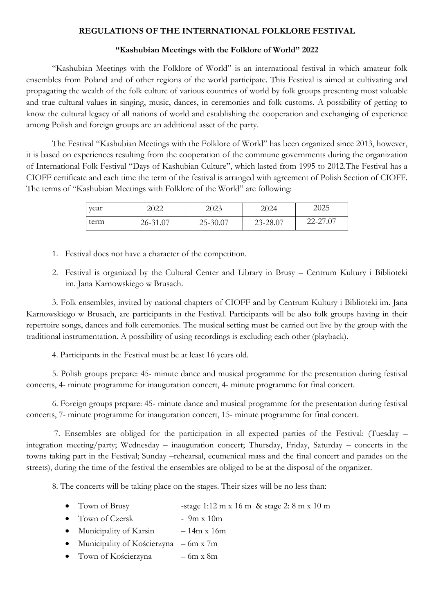### **REGULATIONS OF THE INTERNATIONAL FOLKLORE FESTIVAL**

#### **"Kashubian Meetings with the Folklore of World" 2022**

"Kashubian Meetings with the Folklore of World" is an international festival in which amateur folk ensembles from Poland and of other regions of the world participate. This Festival is aimed at cultivating and propagating the wealth of the folk culture of various countries of world by folk groups presenting most valuable and true cultural values in singing, music, dances, in ceremonies and folk customs. A possibility of getting to know the cultural legacy of all nations of world and establishing the cooperation and exchanging of experience among Polish and foreign groups are an additional asset of the party.

The Festival "Kashubian Meetings with the Folklore of World" has been organized since 2013, however, it is based on experiences resulting from the cooperation of the commune governments during the organization of International Folk Festival "Days of Kashubian Culture", which lasted from 1995 to 2012.The Festival has a CIOFF certificate and each time the term of the festival is arranged with agreement of Polish Section of CIOFF. The terms of "Kashubian Meetings with Folklore of the World" are following:

| year | 2022     | 2023     | 2024     | 2025     |
|------|----------|----------|----------|----------|
| term | 26-31.07 | 25-30.07 | 23-28.07 | 22-27.07 |

- 1. Festival does not have a character of the competition.
- 2. Festival is organized by the Cultural Center and Library in Brusy Centrum Kultury i Biblioteki im. Jana Karnowskiego w Brusach.

3. Folk ensembles, invited by national chapters of CIOFF and by Centrum Kultury i Biblioteki im. Jana Karnowskiego w Brusach, are participants in the Festival. Participants will be also folk groups having in their repertoire songs, dances and folk ceremonies. The musical setting must be carried out live by the group with the traditional instrumentation. A possibility of using recordings is excluding each other (playback).

4. Participants in the Festival must be at least 16 years old.

5. Polish groups prepare: 45- minute dance and musical programme for the presentation during festival concerts, 4- minute programme for inauguration concert, 4- minute programme for final concert.

6. Foreign groups prepare: 45- minute dance and musical programme for the presentation during festival concerts, 7- minute programme for inauguration concert, 15- minute programme for final concert.

7. Ensembles are obliged for the participation in all expected parties of the Festival: (Tuesday – integration meeting/party; Wednesday – inauguration concert; Thursday, Friday, Saturday – concerts in the towns taking part in the Festival; Sunday –rehearsal, ecumenical mass and the final concert and parades on the streets), during the time of the festival the ensembles are obliged to be at the disposal of the organizer.

8. The concerts will be taking place on the stages. Their sizes will be no less than:

- Town of Brusy -stage 1:12 m x 16 m & stage 2: 8 m x 10 m
- Town of Czersk 9m x 10m
- Municipality of Karsin  $-14m \times 16m$
- Municipality of Kościerzyna 6m x 7m
- Town of Kościerzyna 6m x 8m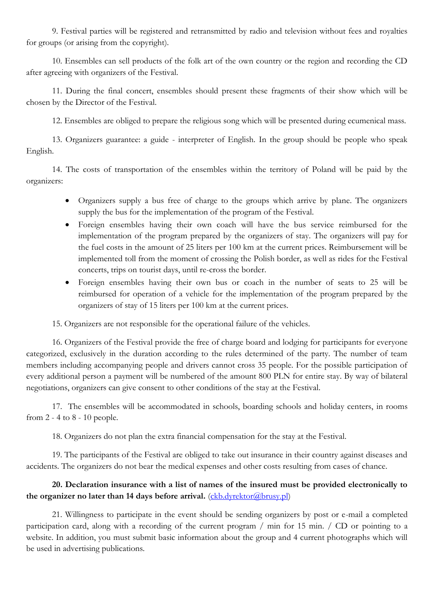9. Festival parties will be registered and retransmitted by radio and television without fees and royalties for groups (or arising from the copyright).

10. Ensembles can sell products of the folk art of the own country or the region and recording the CD after agreeing with organizers of the Festival.

11. During the final concert, ensembles should present these fragments of their show which will be chosen by the Director of the Festival.

12. Ensembles are obliged to prepare the religious song which will be presented during ecumenical mass.

13. Organizers guarantee: a guide - interpreter of English. In the group should be people who speak English.

14. The costs of transportation of the ensembles within the territory of Poland will be paid by the organizers:

- Organizers supply a bus free of charge to the groups which arrive by plane. The organizers supply the bus for the implementation of the program of the Festival.
- Foreign ensembles having their own coach will have the bus service reimbursed for the implementation of the program prepared by the organizers of stay. The organizers will pay for the fuel costs in the amount of 25 liters per 100 km at the current prices. Reimbursement will be implemented toll from the moment of crossing the Polish border, as well as rides for the Festival concerts, trips on tourist days, until re-cross the border.
- Foreign ensembles having their own bus or coach in the number of seats to 25 will be reimbursed for operation of a vehicle for the implementation of the program prepared by the organizers of stay of 15 liters per 100 km at the current prices.

15. Organizers are not responsible for the operational failure of the vehicles.

16. Organizers of the Festival provide the free of charge board and lodging for participants for everyone categorized, exclusively in the duration according to the rules determined of the party. The number of team members including accompanying people and drivers cannot cross 35 people. For the possible participation of every additional person a payment will be numbered of the amount 800 PLN for entire stay. By way of bilateral negotiations, organizers can give consent to other conditions of the stay at the Festival.

17. The ensembles will be accommodated in schools, boarding schools and holiday centers, in rooms from 2 - 4 to 8 - 10 people.

18. Organizers do not plan the extra financial compensation for the stay at the Festival.

19. The participants of the Festival are obliged to take out insurance in their country against diseases and accidents. The organizers do not bear the medical expenses and other costs resulting from cases of chance.

# **20. Declaration insurance with a list of names of the insured must be provided electronically to**  the organizer no later than 14 days before arrival. [\(ckb.dyrektor@brusy.pl\)](mailto:ckb.dyrektor@brusy.pl)

21. Willingness to participate in the event should be sending organizers by post or e-mail a completed participation card, along with a recording of the current program / min for 15 min. / CD or pointing to a website. In addition, you must submit basic information about the group and 4 current photographs which will be used in advertising publications.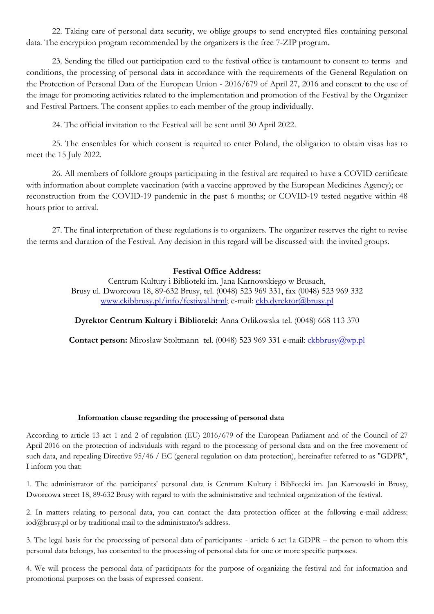22. Taking care of personal data security, we oblige groups to send encrypted files containing personal data. The encryption program recommended by the organizers is the free 7-ZIP program.

23. Sending the filled out participation card to the festival office is tantamount to consent to terms and conditions, the processing of personal data in accordance with the requirements of the General Regulation on the Protection of Personal Data of the European Union - 2016/679 of April 27, 2016 and consent to the use of the image for promoting activities related to the implementation and promotion of the Festival by the Organizer and Festival Partners. The consent applies to each member of the group individually.

24. The official invitation to the Festival will be sent until 30 April 2022.

25. The ensembles for which consent is required to enter Poland, the obligation to obtain visas has to meet the 15 July 2022.

26. All members of folklore groups participating in the festival are required to have a COVID certificate with information about complete vaccination (with a vaccine approved by the European Medicines Agency); or reconstruction from the COVID-19 pandemic in the past 6 months; or COVID-19 tested negative within 48 hours prior to arrival.

27. The final interpretation of these regulations is to organizers. The organizer reserves the right to revise the terms and duration of the Festival. Any decision in this regard will be discussed with the invited groups.

## **Festival Office Address:**

Centrum Kultury i Biblioteki im. Jana Karnowskiego w Brusach, Brusy ul. Dworcowa 18, 89-632 Brusy, tel. (0048) 523 969 331, fax (0048) 523 969 332 [www.ckibbrusy.pl/info/festiwal.html;](http://www.ckibbrusy.pl/info/festiwal.html) e-mail: [ckb.dyrektor@brusy.pl](mailto:ckb.dyrektor@brusy.pl)

**Dyrektor Centrum Kultury i Biblioteki:** Anna Orlikowska tel. (0048) 668 113 370

**Contact person:** Mirosław Stoltmann tel. (0048) 523 969 331 e-mail: [ckbbrusy@wp.pl](mailto:ckbbrusy@wp.pl)

## **Information clause regarding the processing of personal data**

According to article 13 act 1 and 2 of regulation (EU) 2016/679 of the European Parliament and of the Council of 27 April 2016 on the protection of individuals with regard to the processing of personal data and on the free movement of such data, and repealing Directive 95/46 / EC (general regulation on data protection), hereinafter referred to as "GDPR", I inform you that:

1. The administrator of the participants' personal data is Centrum Kultury i Biblioteki im. Jan Karnowski in Brusy, Dworcowa street 18, 89-632 Brusy with regard to with the administrative and technical organization of the festival.

2. In matters relating to personal data, you can contact the data protection officer at the following e-mail address: iod@brusy.pl or by traditional mail to the administrator's address.

3. The legal basis for the processing of personal data of participants: - article 6 act 1a GDPR – the person to whom this personal data belongs, has consented to the processing of personal data for one or more specific purposes.

4. We will process the personal data of participants for the purpose of organizing the festival and for information and promotional purposes on the basis of expressed consent.